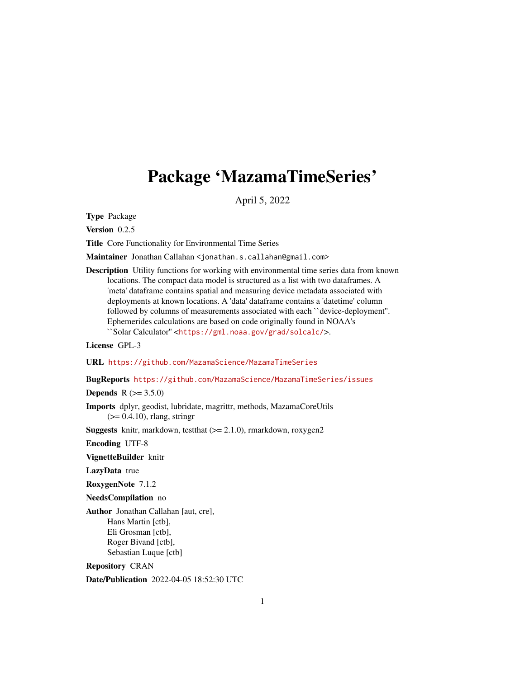# <span id="page-0-0"></span>Package 'MazamaTimeSeries'

April 5, 2022

Type Package

Version 0.2.5

Title Core Functionality for Environmental Time Series

Maintainer Jonathan Callahan <jonathan.s.callahan@gmail.com>

Description Utility functions for working with environmental time series data from known locations. The compact data model is structured as a list with two dataframes. A 'meta' dataframe contains spatial and measuring device metadata associated with deployments at known locations. A 'data' dataframe contains a 'datetime' column followed by columns of measurements associated with each ``device-deployment''. Ephemerides calculations are based on code originally found in NOAA's ``Solar Calculator'' <<https://gml.noaa.gov/grad/solcalc/>>.

License GPL-3

URL <https://github.com/MazamaScience/MazamaTimeSeries>

BugReports <https://github.com/MazamaScience/MazamaTimeSeries/issues>

**Depends**  $R (= 3.5.0)$ 

Imports dplyr, geodist, lubridate, magrittr, methods, MazamaCoreUtils  $(>= 0.4.10)$ , rlang, stringr

**Suggests** knitr, markdown, test that  $(>= 2.1.0)$ , rmarkdown, roxygen2

Encoding UTF-8

VignetteBuilder knitr

LazyData true

RoxygenNote 7.1.2

NeedsCompilation no

Author Jonathan Callahan [aut, cre], Hans Martin [ctb], Eli Grosman [ctb], Roger Bivand [ctb], Sebastian Luque [ctb]

Repository CRAN

Date/Publication 2022-04-05 18:52:30 UTC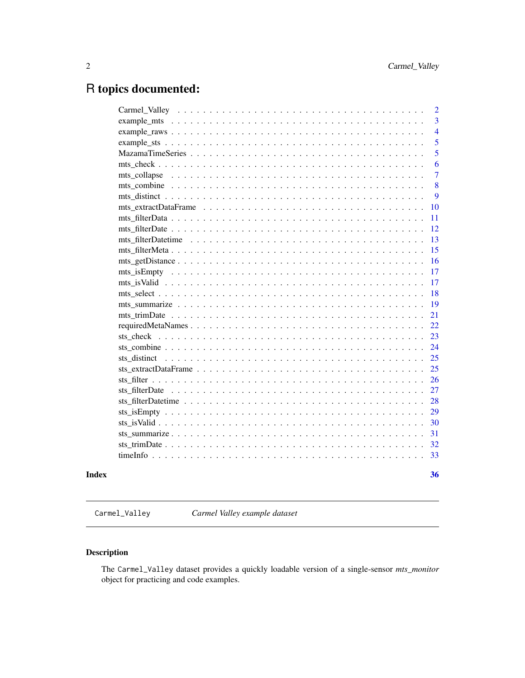# <span id="page-1-0"></span>R topics documented:

|       |                                                                                                               | $\overline{2}$ |
|-------|---------------------------------------------------------------------------------------------------------------|----------------|
|       |                                                                                                               | $\overline{3}$ |
|       |                                                                                                               | $\overline{4}$ |
|       |                                                                                                               | 5              |
|       |                                                                                                               | 5              |
|       |                                                                                                               | 6              |
|       | $mts_c$ collapse $\ldots \ldots \ldots \ldots \ldots \ldots \ldots \ldots \ldots \ldots \ldots \ldots \ldots$ | $\overline{7}$ |
|       |                                                                                                               | 8              |
|       |                                                                                                               | 9              |
|       | $mts\_extractDataFrame \dots \dots \dots \dots \dots \dots \dots \dots \dots \dots \dots \dots \dots \dots$   | 10             |
|       |                                                                                                               | 11             |
|       |                                                                                                               | 12             |
|       |                                                                                                               | 13             |
|       |                                                                                                               | 15             |
|       | $mts\_getDistance \ldots \ldots \ldots \ldots \ldots \ldots \ldots \ldots \ldots \ldots \ldots \ldots \ldots$ | 16             |
|       |                                                                                                               | 17             |
|       |                                                                                                               | 17             |
|       |                                                                                                               | 18             |
|       |                                                                                                               | 19             |
|       |                                                                                                               | 21             |
|       |                                                                                                               | 22             |
|       |                                                                                                               | 23             |
|       |                                                                                                               | 24             |
|       |                                                                                                               | 25             |
|       |                                                                                                               | 25             |
|       |                                                                                                               | 26             |
|       |                                                                                                               | 27             |
|       |                                                                                                               | 28             |
|       |                                                                                                               | 29             |
|       |                                                                                                               | 30             |
|       |                                                                                                               | 31             |
|       |                                                                                                               |                |
|       |                                                                                                               | 33             |
| Index |                                                                                                               | 36             |

Carmel\_Valley *Carmel Valley example dataset*

# Description

The Carmel\_Valley dataset provides a quickly loadable version of a single-sensor *mts\_monitor* object for practicing and code examples.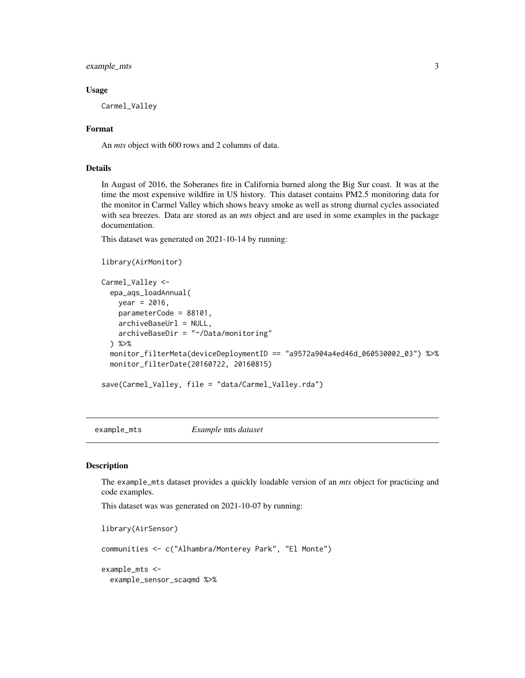<span id="page-2-0"></span>example\_mts 3

#### Usage

Carmel\_Valley

#### Format

An *mts* object with 600 rows and 2 columns of data.

# Details

In August of 2016, the Soberanes fire in California burned along the Big Sur coast. It was at the time the most expensive wildfire in US history. This dataset contains PM2.5 monitoring data for the monitor in Carmel Valley which shows heavy smoke as well as strong diurnal cycles associated with sea breezes. Data are stored as an *mts* object and are used in some examples in the package documentation.

This dataset was generated on 2021-10-14 by running:

```
library(AirMonitor)
```

```
Carmel_Valley <-
  epa_aqs_loadAnnual(
   year = 2016,parameterCode = 88101,
   archiveBaseUrl = NULL,
   archiveBaseDir = "~/Data/monitoring"
  ) %>%
 monitor_filterMeta(deviceDeploymentID == "a9572a904a4ed46d_060530002_03") %>%
 monitor_filterDate(20160722, 20160815)
```

```
save(Carmel_Valley, file = "data/Carmel_Valley.rda")
```
example\_mts *Example* mts *dataset*

# **Description**

The example\_mts dataset provides a quickly loadable version of an *mts* object for practicing and code examples.

This dataset was was generated on 2021-10-07 by running:

```
library(AirSensor)
communities <- c("Alhambra/Monterey Park", "El Monte")
```
example\_mts < example\_sensor\_scaqmd %>%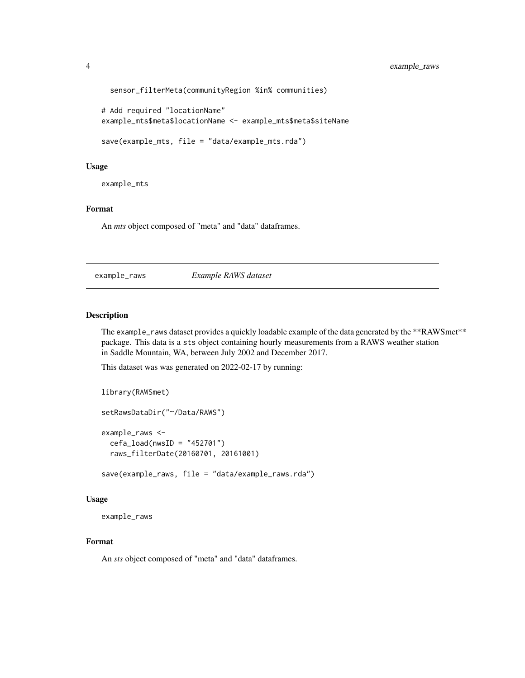```
sensor_filterMeta(communityRegion %in% communities)
# Add required "locationName"
example_mts$meta$locationName <- example_mts$meta$siteName
save(example_mts, file = "data/example_mts.rda")
```
#### Usage

example\_mts

# Format

An *mts* object composed of "meta" and "data" dataframes.

example\_raws *Example RAWS dataset*

# Description

The example\_raws dataset provides a quickly loadable example of the data generated by the \*\*RAWSmet\*\* package. This data is a sts object containing hourly measurements from a RAWS weather station in Saddle Mountain, WA, between July 2002 and December 2017.

This dataset was was generated on 2022-02-17 by running:

```
library(RAWSmet)
setRawsDataDir("~/Data/RAWS")
example_raws <-
  cefa\_load(mwslD = "452701")raws_filterDate(20160701, 20161001)
```
save(example\_raws, file = "data/example\_raws.rda")

# Usage

example\_raws

# Format

An *sts* object composed of "meta" and "data" dataframes.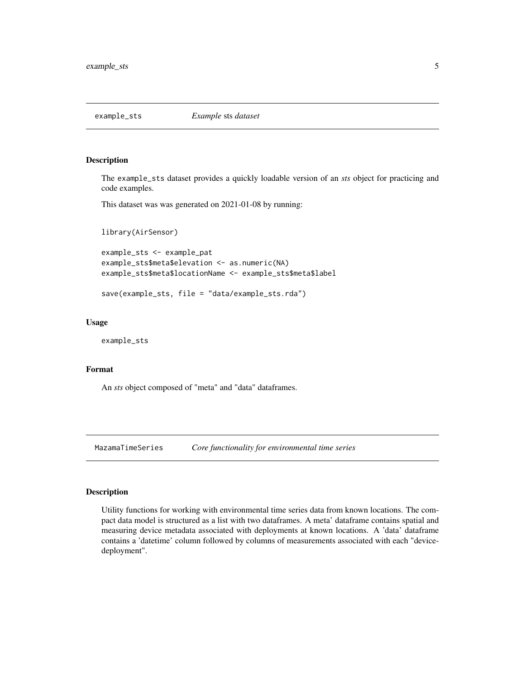<span id="page-4-0"></span>

The example\_sts dataset provides a quickly loadable version of an *sts* object for practicing and code examples.

This dataset was was generated on 2021-01-08 by running:

library(AirSensor)

```
example_sts <- example_pat
example_sts$meta$elevation <- as.numeric(NA)
example_sts$meta$locationName <- example_sts$meta$label
```

```
save(example_sts, file = "data/example_sts.rda")
```
#### Usage

example\_sts

# Format

An *sts* object composed of "meta" and "data" dataframes.

MazamaTimeSeries *Core functionality for environmental time series*

# Description

Utility functions for working with environmental time series data from known locations. The compact data model is structured as a list with two dataframes. A meta' dataframe contains spatial and measuring device metadata associated with deployments at known locations. A 'data' dataframe contains a 'datetime' column followed by columns of measurements associated with each "devicedeployment".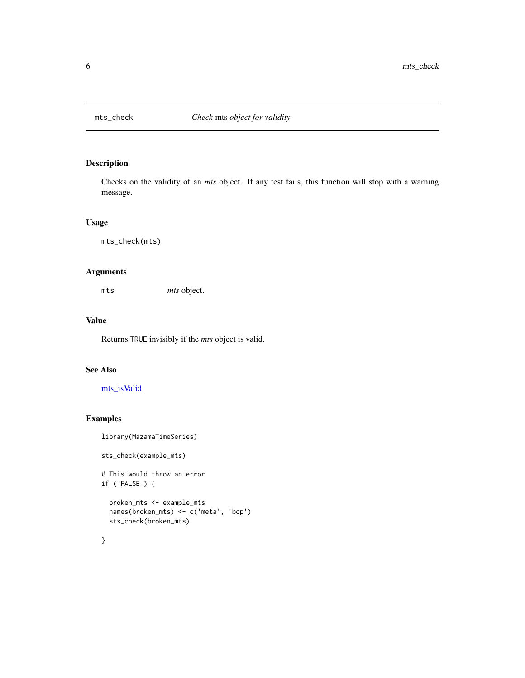<span id="page-5-1"></span><span id="page-5-0"></span>

Checks on the validity of an *mts* object. If any test fails, this function will stop with a warning message.

# Usage

mts\_check(mts)

# Arguments

mts *mts* object.

# Value

Returns TRUE invisibly if the *mts* object is valid.

# See Also

[mts\\_isValid](#page-16-1)

# Examples

```
library(MazamaTimeSeries)
```
sts\_check(example\_mts)

# This would throw an error if ( FALSE ) {

```
broken_mts <- example_mts
names(broken_mts) <- c('meta', 'bop')
sts_check(broken_mts)
```
}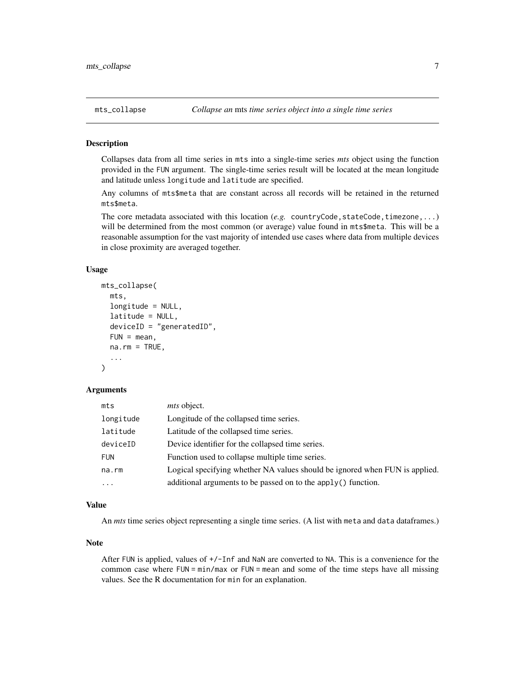<span id="page-6-0"></span>Collapses data from all time series in mts into a single-time series *mts* object using the function provided in the FUN argument. The single-time series result will be located at the mean longitude and latitude unless longitude and latitude are specified.

Any columns of mts\$meta that are constant across all records will be retained in the returned mts\$meta.

The core metadata associated with this location  $(e.g.$  countryCode, stateCode, timezone, ...) will be determined from the most common (or average) value found in mts\$meta. This will be a reasonable assumption for the vast majority of intended use cases where data from multiple devices in close proximity are averaged together.

#### Usage

```
mts_collapse(
  mts,
  longitude = NULL,
  latitude = NULL,
  deviceID = "generatedID",
  FUN = mean,
  na.rm = TRUE,...
)
```
#### **Arguments**

| mts        | <i>mts</i> object.                                                          |
|------------|-----------------------------------------------------------------------------|
| longitude  | Longitude of the collapsed time series.                                     |
| latitude   | Latitude of the collapsed time series.                                      |
| deviceID   | Device identifier for the collapsed time series.                            |
| <b>FUN</b> | Function used to collapse multiple time series.                             |
| na.rm      | Logical specifying whether NA values should be ignored when FUN is applied. |
| $\cdot$    | additional arguments to be passed on to the apply() function.               |

#### Value

An *mts* time series object representing a single time series. (A list with meta and data dataframes.)

# Note

After FUN is applied, values of +/-Inf and NaN are converted to NA. This is a convenience for the common case where FUN = min/max or FUN = mean and some of the time steps have all missing values. See the R documentation for min for an explanation.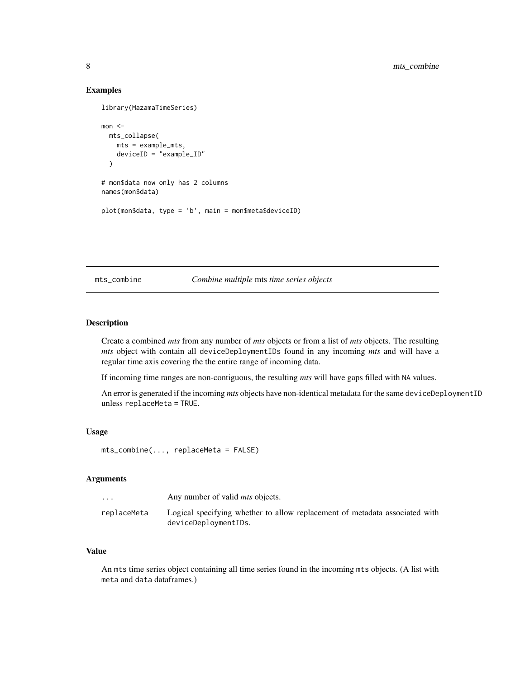# Examples

```
library(MazamaTimeSeries)
mon < -mts_collapse(
   mts = example_mts,
   deviceID = "example_ID"
  )
# mon$data now only has 2 columns
names(mon$data)
plot(mon$data, type = 'b', main = mon$meta$deviceID)
```
mts\_combine *Combine multiple* mts *time series objects*

### Description

Create a combined *mts* from any number of *mts* objects or from a list of *mts* objects. The resulting *mts* object with contain all deviceDeploymentIDs found in any incoming *mts* and will have a regular time axis covering the the entire range of incoming data.

If incoming time ranges are non-contiguous, the resulting *mts* will have gaps filled with NA values.

An error is generated if the incoming *mts* objects have non-identical metadata for the same deviceDeploymentID unless replaceMeta = TRUE.

#### Usage

```
mts_combine(..., replaceMeta = FALSE)
```
# Arguments

| $\cdot$ $\cdot$ $\cdot$ | Any number of valid <i>mts</i> objects.                                                             |
|-------------------------|-----------------------------------------------------------------------------------------------------|
| replaceMeta             | Logical specifying whether to allow replacement of metadata associated with<br>deviceDeploymentIDs. |

#### Value

An mts time series object containing all time series found in the incoming mts objects. (A list with meta and data dataframes.)

<span id="page-7-0"></span>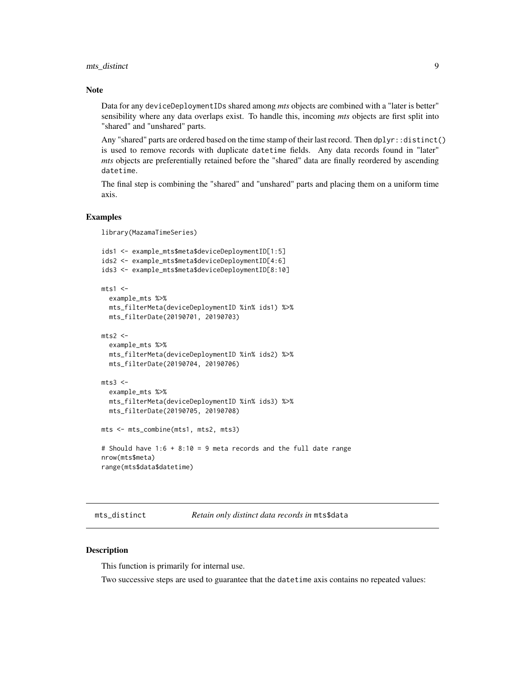<span id="page-8-0"></span>mts\_distinct 9

#### **Note**

Data for any deviceDeploymentIDs shared among *mts* objects are combined with a "later is better" sensibility where any data overlaps exist. To handle this, incoming *mts* objects are first split into "shared" and "unshared" parts.

Any "shared" parts are ordered based on the time stamp of their last record. Then dplyr::distinct() is used to remove records with duplicate datetime fields. Any data records found in "later" *mts* objects are preferentially retained before the "shared" data are finally reordered by ascending datetime.

The final step is combining the "shared" and "unshared" parts and placing them on a uniform time axis.

#### Examples

library(MazamaTimeSeries)

```
ids1 <- example_mts$meta$deviceDeploymentID[1:5]
ids2 <- example_mts$meta$deviceDeploymentID[4:6]
ids3 <- example_mts$meta$deviceDeploymentID[8:10]
mts1 < -example_mts %>%
  mts_filterMeta(deviceDeploymentID %in% ids1) %>%
  mts_filterDate(20190701, 20190703)
mts2 < -example_mts %>%
  mts_filterMeta(deviceDeploymentID %in% ids2) %>%
  mts_filterDate(20190704, 20190706)
mts3 < -example_mts %>%
  mts_filterMeta(deviceDeploymentID %in% ids3) %>%
  mts_filterDate(20190705, 20190708)
mts <- mts_combine(mts1, mts2, mts3)
# Should have 1:6 + 8:10 = 9 meta records and the full date range
nrow(mts$meta)
range(mts$data$datetime)
```
mts\_distinct *Retain only distinct data records in* mts\$data

#### **Description**

This function is primarily for internal use.

Two successive steps are used to guarantee that the datetime axis contains no repeated values: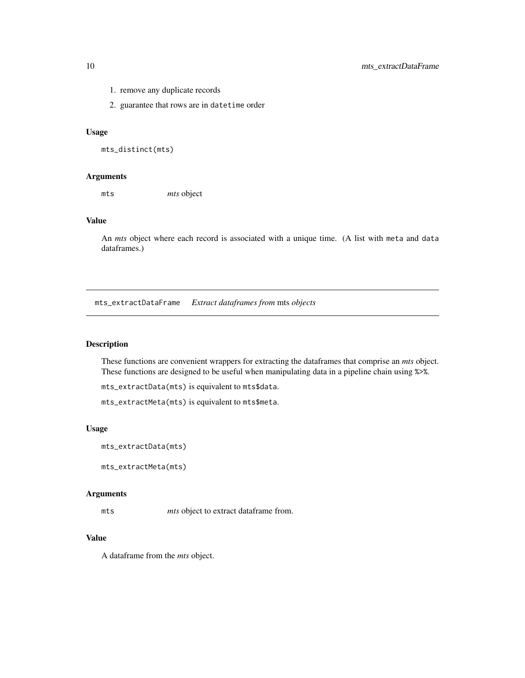- <span id="page-9-0"></span>1. remove any duplicate records
- 2. guarantee that rows are in datetime order

# Usage

```
mts_distinct(mts)
```
#### Arguments

mts *mts* object

# Value

An *mts* object where each record is associated with a unique time. (A list with meta and data dataframes.)

mts\_extractDataFrame *Extract dataframes from* mts *objects*

# Description

These functions are convenient wrappers for extracting the dataframes that comprise an *mts* object. These functions are designed to be useful when manipulating data in a pipeline chain using %>%.

mts\_extractData(mts) is equivalent to mts\$data.

mts\_extractMeta(mts) is equivalent to mts\$meta.

#### Usage

```
mts_extractData(mts)
```
mts\_extractMeta(mts)

# Arguments

mts *mts* object to extract dataframe from.

#### Value

A dataframe from the *mts* object.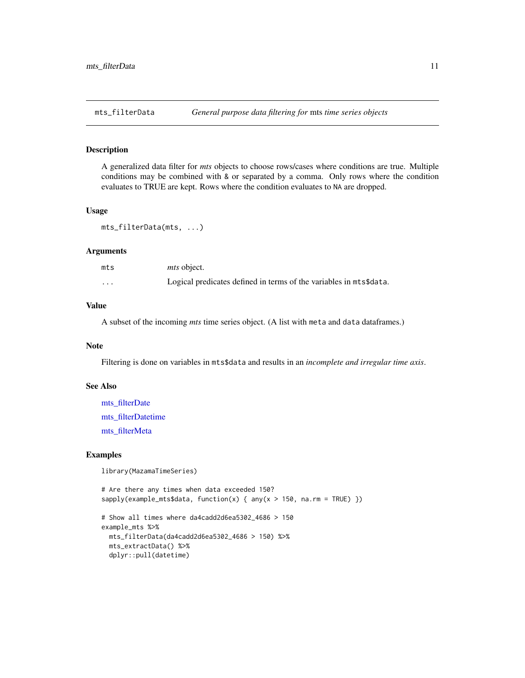<span id="page-10-1"></span><span id="page-10-0"></span>

A generalized data filter for *mts* objects to choose rows/cases where conditions are true. Multiple conditions may be combined with & or separated by a comma. Only rows where the condition evaluates to TRUE are kept. Rows where the condition evaluates to NA are dropped.

#### Usage

```
mts_filterData(mts, ...)
```
#### Arguments

| mts                     | <i>mts</i> object.                                                 |
|-------------------------|--------------------------------------------------------------------|
| $\cdot$ $\cdot$ $\cdot$ | Logical predicates defined in terms of the variables in mts\$data. |

# Value

A subset of the incoming *mts* time series object. (A list with meta and data dataframes.)

#### Note

Filtering is done on variables in mts\$data and results in an *incomplete and irregular time axis*.

# See Also

[mts\\_filterDate](#page-11-1) [mts\\_filterDatetime](#page-12-1) [mts\\_filterMeta](#page-14-1)

#### Examples

library(MazamaTimeSeries)

# Are there any times when data exceeded 150? sapply(example\_mts\$data, function(x) { any(x > 150, na.rm = TRUE) }) # Show all times where da4cadd2d6ea5302\_4686 > 150 example\_mts %>% mts\_filterData(da4cadd2d6ea5302\_4686 > 150) %>% mts\_extractData() %>% dplyr::pull(datetime)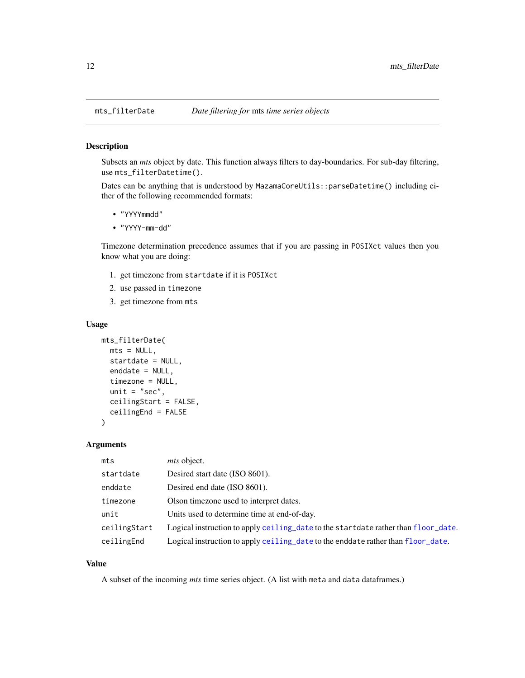<span id="page-11-1"></span><span id="page-11-0"></span>

Subsets an *mts* object by date. This function always filters to day-boundaries. For sub-day filtering, use mts\_filterDatetime().

Dates can be anything that is understood by MazamaCoreUtils::parseDatetime() including either of the following recommended formats:

- "YYYYmmdd"
- "YYYY-mm-dd"

Timezone determination precedence assumes that if you are passing in POSIXct values then you know what you are doing:

- 1. get timezone from startdate if it is POSIXct
- 2. use passed in timezone
- 3. get timezone from mts

# Usage

```
mts_filterDate(
 mts = NULL,startdate = NULL,
 enddate = NULL,
  timezone = NULL,
 unit = "sec",ceilingStart = FALSE,
  ceilingEnd = FALSE
)
```
#### Arguments

| mts          | <i>mts</i> object.                                                                 |
|--------------|------------------------------------------------------------------------------------|
| startdate    | Desired start date (ISO 8601).                                                     |
| enddate      | Desired end date (ISO 8601).                                                       |
| timezone     | Olson timezone used to interpret dates.                                            |
| unit         | Units used to determine time at end-of-day.                                        |
| ceilingStart | Logical instruction to apply ceiling_date to the startdate rather than floor_date. |
| ceilingEnd   | Logical instruction to apply ceiling_date to the enddate rather than floor_date.   |

# Value

A subset of the incoming *mts* time series object. (A list with meta and data dataframes.)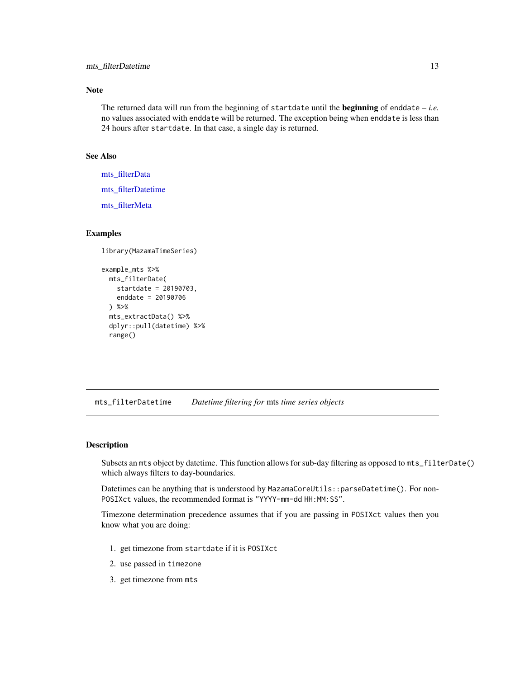# <span id="page-12-0"></span>Note

The returned data will run from the beginning of startdate until the **beginning** of enddate  $-i.e.$ no values associated with enddate will be returned. The exception being when enddate is less than 24 hours after startdate. In that case, a single day is returned.

# See Also

[mts\\_filterData](#page-10-1)

[mts\\_filterDatetime](#page-12-1)

[mts\\_filterMeta](#page-14-1)

#### Examples

```
library(MazamaTimeSeries)
```

```
example_mts %>%
 mts_filterDate(
   startdate = 20190703,
   enddate = 20190706
 ) %>%
 mts_extractData() %>%
 dplyr::pull(datetime) %>%
 range()
```
<span id="page-12-1"></span>mts\_filterDatetime *Datetime filtering for* mts *time series objects*

#### Description

Subsets an mts object by datetime. This function allows for sub-day filtering as opposed to mts\_filterDate() which always filters to day-boundaries.

Datetimes can be anything that is understood by MazamaCoreUtils::parseDatetime(). For non-POSIXct values, the recommended format is "YYYY-mm-dd HH:MM:SS".

Timezone determination precedence assumes that if you are passing in POSIXct values then you know what you are doing:

- 1. get timezone from startdate if it is POSIXct
- 2. use passed in timezone
- 3. get timezone from mts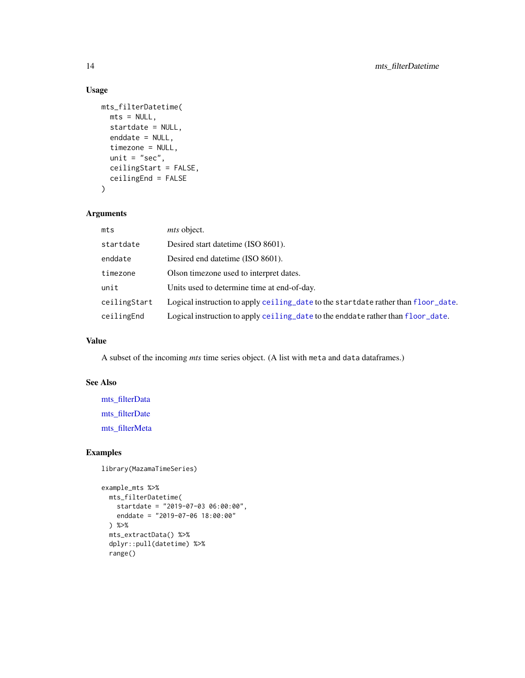# Usage

```
mts_filterDatetime(
  mts = NULL,startdate = NULL,
  enddate = NULL,
  timezone = NULL,
  unit = "sec",ceilingStart = FALSE,
  ceilingEnd = FALSE
\mathcal{L}
```
# Arguments

| mts          | <i>mts</i> object.                                                                 |
|--------------|------------------------------------------------------------------------------------|
| startdate    | Desired start date time (ISO 8601).                                                |
| enddate      | Desired end date time (ISO 8601).                                                  |
| timezone     | Olson timezone used to interpret dates.                                            |
| unit         | Units used to determine time at end-of-day.                                        |
| ceilingStart | Logical instruction to apply ceiling_date to the startdate rather than floor_date. |
| ceilingEnd   | Logical instruction to apply ceiling_date to the enddate rather than floor_date.   |

# Value

A subset of the incoming *mts* time series object. (A list with meta and data dataframes.)

# See Also

[mts\\_filterData](#page-10-1) [mts\\_filterDate](#page-11-1) [mts\\_filterMeta](#page-14-1)

# Examples

library(MazamaTimeSeries)

```
example_mts %>%
 mts_filterDatetime(
   startdate = "2019-07-03 06:00:00",
   enddate = "2019-07-06 18:00:00"
 ) %>%
 mts_extractData() %>%
 dplyr::pull(datetime) %>%
 range()
```
<span id="page-13-0"></span>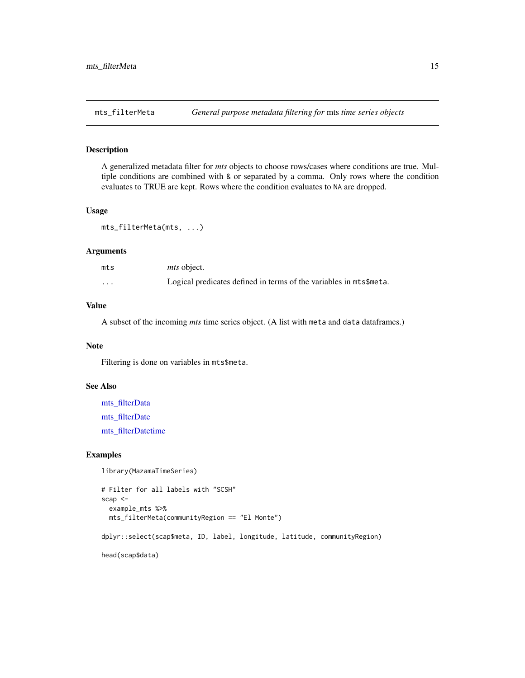<span id="page-14-1"></span><span id="page-14-0"></span>

A generalized metadata filter for *mts* objects to choose rows/cases where conditions are true. Multiple conditions are combined with & or separated by a comma. Only rows where the condition evaluates to TRUE are kept. Rows where the condition evaluates to NA are dropped.

# Usage

```
mts_filterMeta(mts, ...)
```
#### Arguments

| mts                     | <i>mts</i> object.                                                 |
|-------------------------|--------------------------------------------------------------------|
| $\cdot$ $\cdot$ $\cdot$ | Logical predicates defined in terms of the variables in mts\$meta. |

#### Value

A subset of the incoming *mts* time series object. (A list with meta and data dataframes.)

#### Note

Filtering is done on variables in mts\$meta.

# See Also

[mts\\_filterData](#page-10-1) [mts\\_filterDate](#page-11-1) [mts\\_filterDatetime](#page-12-1)

#### Examples

```
library(MazamaTimeSeries)
```

```
# Filter for all labels with "SCSH"
scap <-
 example_mts %>%
 mts_filterMeta(communityRegion == "El Monte")
dplyr::select(scap$meta, ID, label, longitude, latitude, communityRegion)
head(scap$data)
```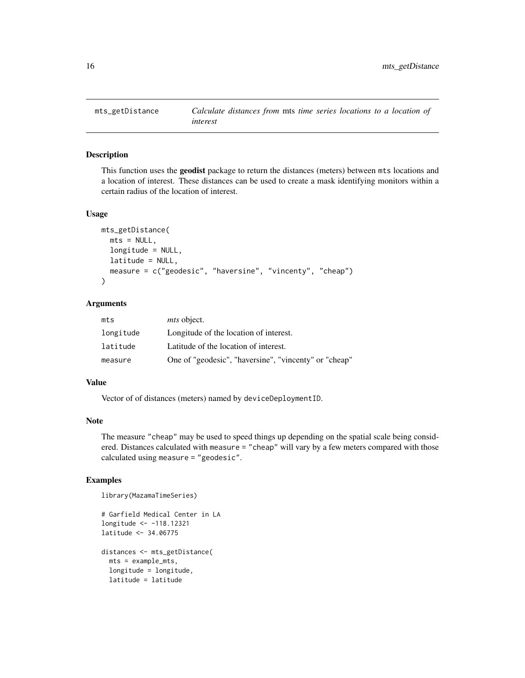<span id="page-15-0"></span>

This function uses the geodist package to return the distances (meters) between mts locations and a location of interest. These distances can be used to create a mask identifying monitors within a certain radius of the location of interest.

#### Usage

```
mts_getDistance(
 mts = NULL,longitude = NULL,
 latitude = NULL,
 measure = c("geodesic", "haversine", "vincenty", "cheap")
)
```
#### Arguments

| mts       | <i>mts</i> object.                                    |
|-----------|-------------------------------------------------------|
| longitude | Longitude of the location of interest.                |
| latitude  | Latitude of the location of interest.                 |
| measure   | One of "geodesic", "haversine", "vincenty" or "cheap" |

### Value

Vector of of distances (meters) named by deviceDeploymentID.

# Note

The measure "cheap" may be used to speed things up depending on the spatial scale being considered. Distances calculated with measure = "cheap" will vary by a few meters compared with those calculated using measure = "geodesic".

# Examples

library(MazamaTimeSeries)

```
# Garfield Medical Center in LA
longitude <- -118.12321
latitude <- 34.06775
distances <- mts_getDistance(
 mts = example_mts,
 longitude = longitude,
 latitude = latitude
```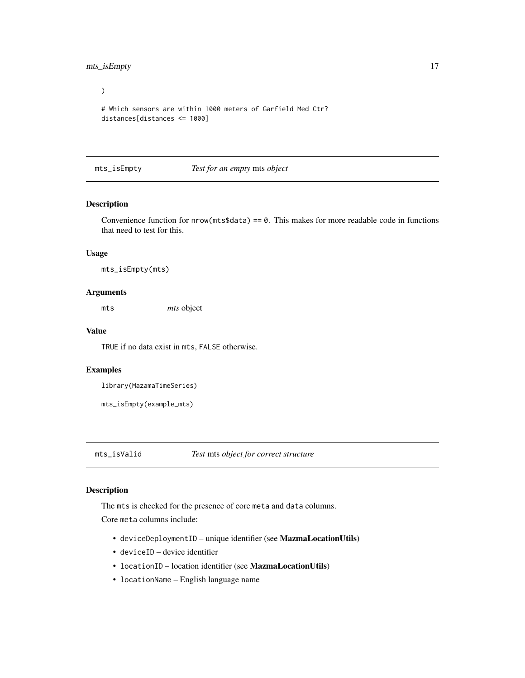# <span id="page-16-0"></span>mts\_isEmpty 17

 $\mathcal{L}$ # Which sensors are within 1000 meters of Garfield Med Ctr? distances[distances <= 1000]

mts\_isEmpty *Test for an empty* mts *object*

# Description

Convenience function for  $nrow(mts$data) == 0$ . This makes for more readable code in functions that need to test for this.

#### Usage

mts\_isEmpty(mts)

# Arguments

mts *mts* object

# Value

TRUE if no data exist in mts, FALSE otherwise.

#### Examples

library(MazamaTimeSeries)

```
mts_isEmpty(example_mts)
```
<span id="page-16-1"></span>mts\_isValid *Test* mts *object for correct structure*

# Description

The mts is checked for the presence of core meta and data columns.

Core meta columns include:

- deviceDeploymentID unique identifier (see MazmaLocationUtils)
- deviceID device identifier
- locationID location identifier (see MazmaLocationUtils)
- locationName English language name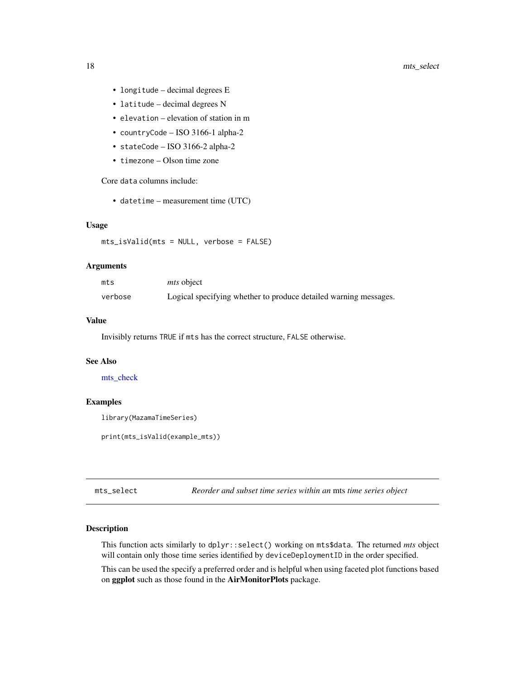- <span id="page-17-0"></span>• longitude – decimal degrees E
- latitude decimal degrees N
- elevation elevation of station in m
- countryCode ISO 3166-1 alpha-2
- stateCode ISO 3166-2 alpha-2
- timezone Olson time zone

Core data columns include:

• datetime – measurement time (UTC)

# Usage

mts\_isValid(mts = NULL, verbose = FALSE)

#### **Arguments**

| mts     | <i>mts</i> object                                                |
|---------|------------------------------------------------------------------|
| verbose | Logical specifying whether to produce detailed warning messages. |

#### Value

Invisibly returns TRUE if mts has the correct structure, FALSE otherwise.

#### See Also

[mts\\_check](#page-5-1)

#### Examples

```
library(MazamaTimeSeries)
```
print(mts\_isValid(example\_mts))

mts\_select *Reorder and subset time series within an* mts *time series object*

#### Description

This function acts similarly to dplyr::select() working on mts\$data. The returned *mts* object will contain only those time series identified by deviceDeploymentID in the order specified.

This can be used the specify a preferred order and is helpful when using faceted plot functions based on ggplot such as those found in the AirMonitorPlots package.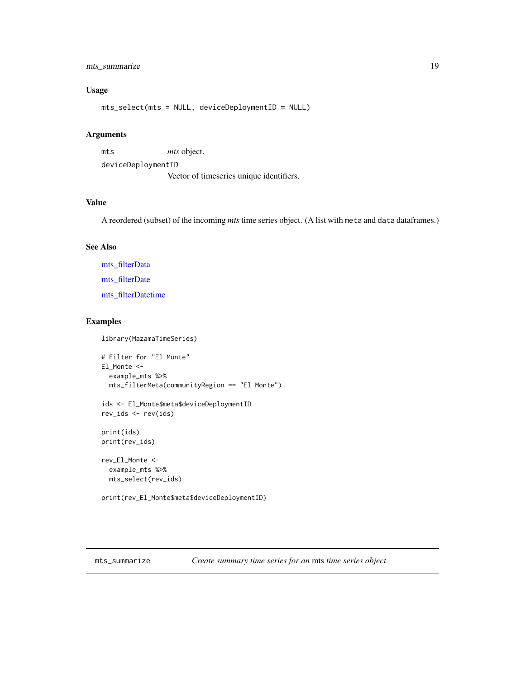# <span id="page-18-0"></span>mts\_summarize 19

# Usage

mts\_select(mts = NULL, deviceDeploymentID = NULL)

# Arguments

mts *mts* object. deviceDeploymentID Vector of timeseries unique identifiers.

# Value

A reordered (subset) of the incoming *mts* time series object. (A list with meta and data dataframes.)

# See Also

[mts\\_filterData](#page-10-1) [mts\\_filterDate](#page-11-1) [mts\\_filterDatetime](#page-12-1)

# Examples

library(MazamaTimeSeries)

```
# Filter for "El Monte"
El_Monte <-
  example_mts %>%
  mts_filterMeta(communityRegion == "El Monte")
ids <- El_Monte$meta$deviceDeploymentID
rev_ids <- rev(ids)
print(ids)
print(rev_ids)
rev_El_Monte <-
  example_mts %>%
  mts_select(rev_ids)
```
print(rev\_El\_Monte\$meta\$deviceDeploymentID)

mts\_summarize *Create summary time series for an* mts *time series object*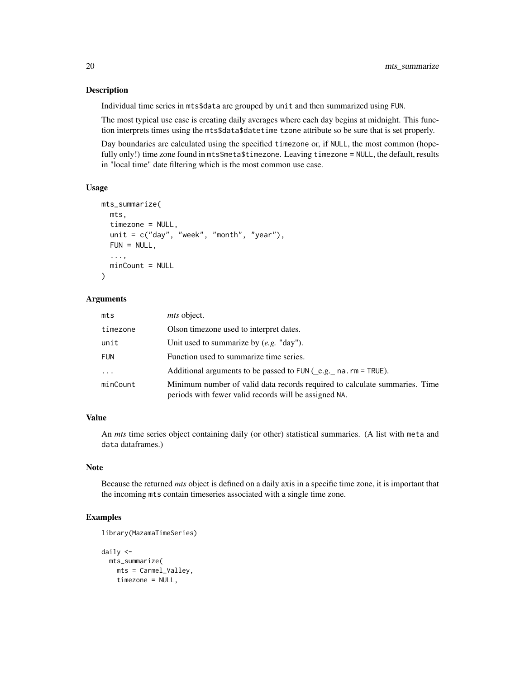Individual time series in mts\$data are grouped by unit and then summarized using FUN.

The most typical use case is creating daily averages where each day begins at midnight. This function interprets times using the mts\$data\$datetime tzone attribute so be sure that is set properly.

Day boundaries are calculated using the specified timezone or, if NULL, the most common (hopefully only!) time zone found in mts\$meta\$timezone. Leaving timezone = NULL, the default, results in "local time" date filtering which is the most common use case.

# Usage

```
mts_summarize(
  mts,
  timezone = NULL,
  unit = c("day", "week", "month", "year"),
  FUN = NULL,...,
  minCount = NULL
)
```
#### Arguments

| mts        | <i>mts</i> object.                                                                                                                  |
|------------|-------------------------------------------------------------------------------------------------------------------------------------|
| timezone   | Olson timezone used to interpret dates.                                                                                             |
| unit       | Unit used to summarize by $(e.g. "day").$                                                                                           |
| <b>FUN</b> | Function used to summarize time series.                                                                                             |
| $\ddots$   | Additional arguments to be passed to FUN $(e.g., na.rm = TRUE)$ .                                                                   |
| minCount   | Minimum number of valid data records required to calculate summaries. Time<br>periods with fewer valid records will be assigned NA. |

#### Value

An *mts* time series object containing daily (or other) statistical summaries. (A list with meta and data dataframes.)

#### Note

Because the returned *mts* object is defined on a daily axis in a specific time zone, it is important that the incoming mts contain timeseries associated with a single time zone.

#### Examples

```
library(MazamaTimeSeries)
daily <-
 mts_summarize(
   mts = Carmel_Valley,
   timezone = NULL,
```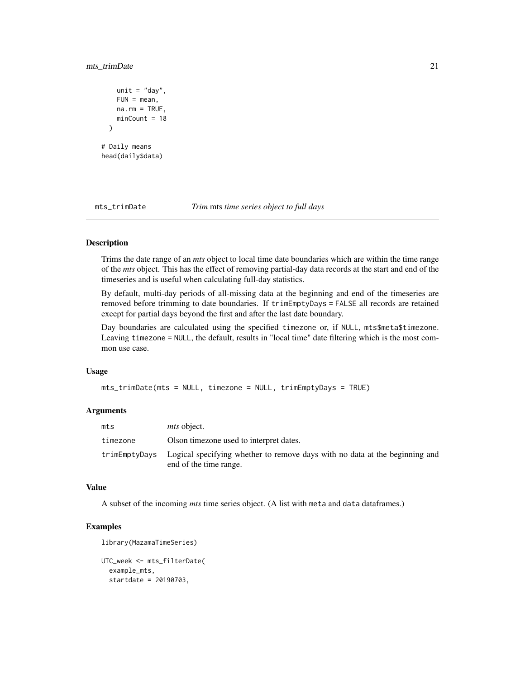# <span id="page-20-0"></span>mts\_trimDate 21

```
unit = "day",FUN = mean,
   na.rm = TRUE,
   minCount = 18
 )
# Daily means
head(daily$data)
```
mts\_trimDate *Trim* mts *time series object to full days*

#### Description

Trims the date range of an *mts* object to local time date boundaries which are within the time range of the *mts* object. This has the effect of removing partial-day data records at the start and end of the timeseries and is useful when calculating full-day statistics.

By default, multi-day periods of all-missing data at the beginning and end of the timeseries are removed before trimming to date boundaries. If trimEmptyDays = FALSE all records are retained except for partial days beyond the first and after the last date boundary.

Day boundaries are calculated using the specified timezone or, if NULL, mts\$meta\$timezone. Leaving timezone = NULL, the default, results in "local time" date filtering which is the most common use case.

#### Usage

```
mts_trimDate(mts = NULL, timezone = NULL, trimEmptyDays = TRUE)
```
#### Arguments

| mts      | <i>mts</i> object.                                                                                                   |
|----------|----------------------------------------------------------------------------------------------------------------------|
| timezone | Olson timezone used to interpret dates.                                                                              |
|          | trimempty Days Logical specifying whether to remove days with no data at the beginning and<br>end of the time range. |

#### Value

A subset of the incoming *mts* time series object. (A list with meta and data dataframes.)

# Examples

```
library(MazamaTimeSeries)
```

```
UTC_week <- mts_filterDate(
  example_mts,
  startdate = 20190703,
```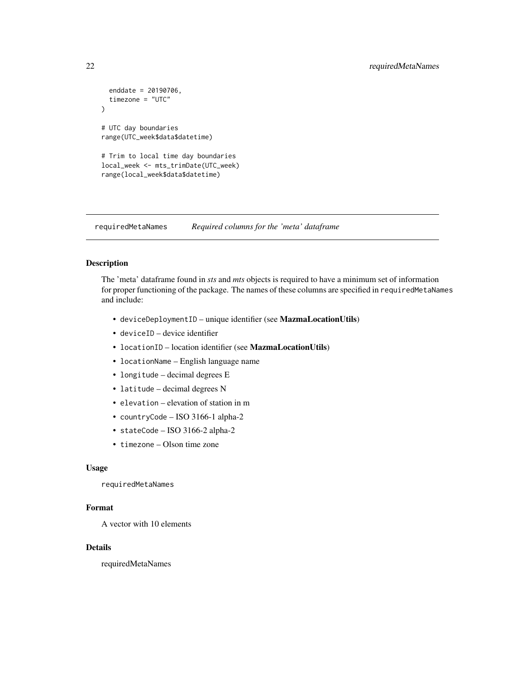```
enddate = 20190706,
 timezone = "UTC"
)
# UTC day boundaries
range(UTC_week$data$datetime)
# Trim to local time day boundaries
local_week <- mts_trimDate(UTC_week)
range(local_week$data$datetime)
```
requiredMetaNames *Required columns for the 'meta' dataframe*

# Description

The 'meta' dataframe found in *sts* and *mts* objects is required to have a minimum set of information for proper functioning of the package. The names of these columns are specified in requiredMetaNames and include:

- deviceDeploymentID unique identifier (see MazmaLocationUtils)
- deviceID device identifier
- locationID location identifier (see MazmaLocationUtils)
- locationName English language name
- longitude decimal degrees E
- latitude decimal degrees N
- elevation elevation of station in m
- countryCode ISO 3166-1 alpha-2
- stateCode ISO 3166-2 alpha-2
- timezone Olson time zone

# Usage

requiredMetaNames

# Format

A vector with 10 elements

# Details

requiredMetaNames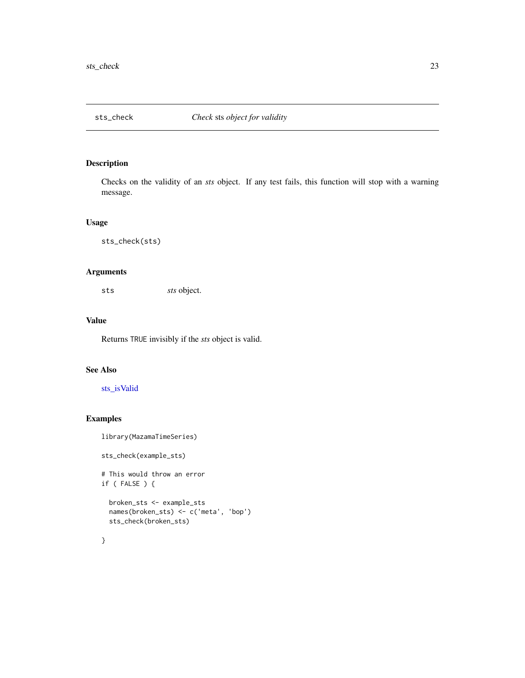<span id="page-22-0"></span>

Checks on the validity of an *sts* object. If any test fails, this function will stop with a warning message.

#### Usage

sts\_check(sts)

# Arguments

sts *sts* object.

# Value

Returns TRUE invisibly if the *sts* object is valid.

# See Also

[sts\\_isValid](#page-29-1)

# Examples

```
library(MazamaTimeSeries)
```
sts\_check(example\_sts)

# This would throw an error if ( FALSE ) {

```
broken_sts <- example_sts
names(broken_sts) <- c('meta', 'bop')
sts_check(broken_sts)
```
}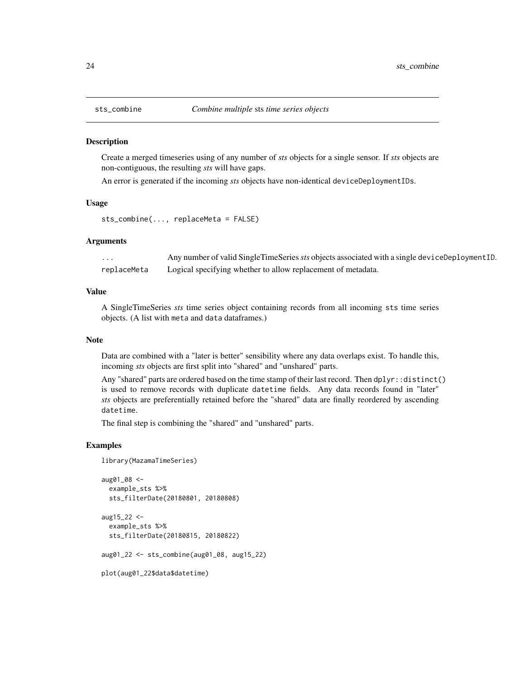<span id="page-23-0"></span>

Create a merged timeseries using of any number of *sts* objects for a single sensor. If *sts* objects are non-contiguous, the resulting *sts* will have gaps.

An error is generated if the incoming *sts* objects have non-identical deviceDeploymentIDs.

#### Usage

sts\_combine(..., replaceMeta = FALSE)

#### Arguments

| .           | Any number of valid SingleTimeSeries sts objects associated with a single deviceDeploymentID. |
|-------------|-----------------------------------------------------------------------------------------------|
| replaceMeta | Logical specifying whether to allow replacement of metadata.                                  |

# Value

A SingleTimeSeries *sts* time series object containing records from all incoming sts time series objects. (A list with meta and data dataframes.)

# Note

Data are combined with a "later is better" sensibility where any data overlaps exist. To handle this, incoming *sts* objects are first split into "shared" and "unshared" parts.

Any "shared" parts are ordered based on the time stamp of their last record. Then dplyr::distinct() is used to remove records with duplicate datetime fields. Any data records found in "later" *sts* objects are preferentially retained before the "shared" data are finally reordered by ascending datetime.

The final step is combining the "shared" and "unshared" parts.

#### Examples

library(MazamaTimeSeries)

```
aug01_08 <-
 example_sts %>%
 sts_filterDate(20180801, 20180808)
aug15_22 <-
 example_sts %>%
 sts_filterDate(20180815, 20180822)
aug01_22 <- sts_combine(aug01_08, aug15_22)
plot(aug01_22$data$datetime)
```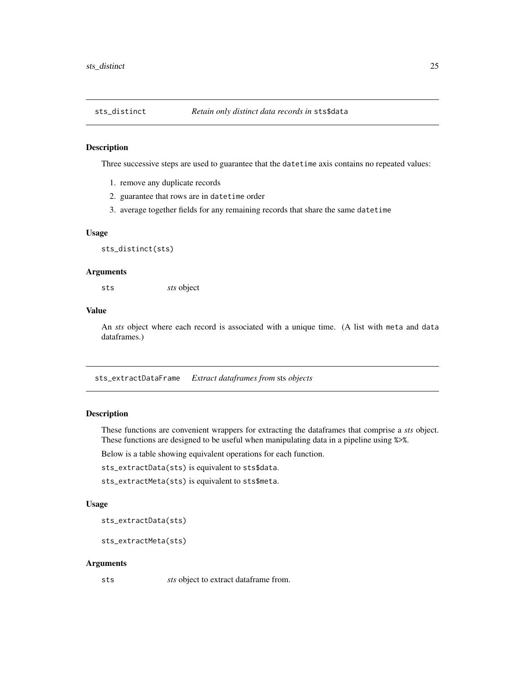<span id="page-24-0"></span>

Three successive steps are used to guarantee that the datetime axis contains no repeated values:

- 1. remove any duplicate records
- 2. guarantee that rows are in datetime order
- 3. average together fields for any remaining records that share the same datetime

#### Usage

```
sts_distinct(sts)
```
#### Arguments

sts *sts* object

# Value

An *sts* object where each record is associated with a unique time. (A list with meta and data dataframes.)

sts\_extractDataFrame *Extract dataframes from* sts *objects*

### Description

These functions are convenient wrappers for extracting the dataframes that comprise a *sts* object. These functions are designed to be useful when manipulating data in a pipeline using %>%.

Below is a table showing equivalent operations for each function.

sts\_extractData(sts) is equivalent to sts\$data.

sts\_extractMeta(sts) is equivalent to sts\$meta.

#### Usage

sts\_extractData(sts)

sts\_extractMeta(sts)

#### Arguments

sts *sts* object to extract dataframe from.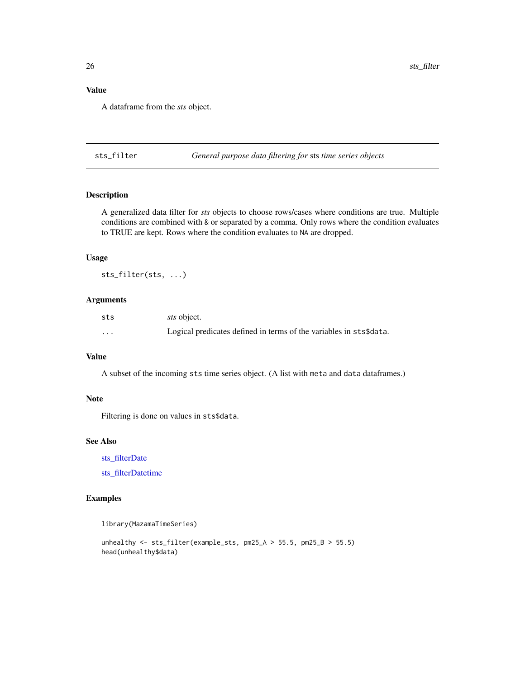# <span id="page-25-0"></span>Value

A dataframe from the *sts* object.

<span id="page-25-1"></span>sts\_filter *General purpose data filtering for* sts *time series objects*

# Description

A generalized data filter for *sts* objects to choose rows/cases where conditions are true. Multiple conditions are combined with & or separated by a comma. Only rows where the condition evaluates to TRUE are kept. Rows where the condition evaluates to NA are dropped.

# Usage

sts\_filter(sts, ...)

#### Arguments

| sts      | <i>sts</i> object.                                                 |
|----------|--------------------------------------------------------------------|
| $\cdots$ | Logical predicates defined in terms of the variables in sts\$data. |

#### Value

A subset of the incoming sts time series object. (A list with meta and data dataframes.)

#### Note

Filtering is done on values in sts\$data.

#### See Also

sts filterDate

[sts\\_filterDatetime](#page-27-1)

#### Examples

```
library(MazamaTimeSeries)
```
unhealthy  $\le$  sts\_filter(example\_sts, pm25\_A > 55.5, pm25\_B > 55.5) head(unhealthy\$data)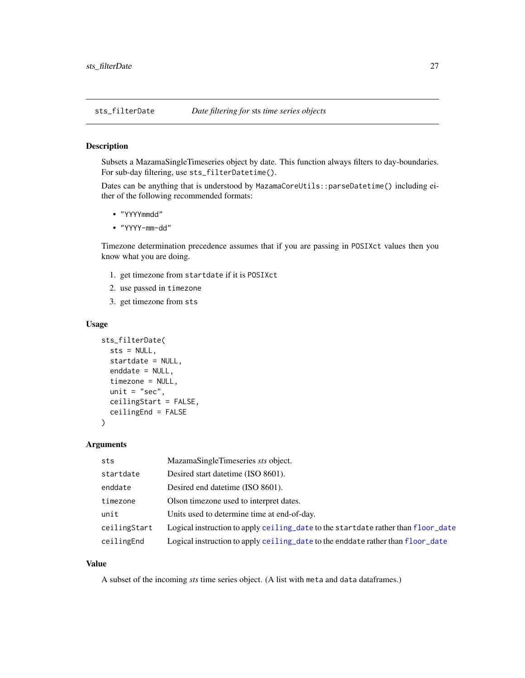<span id="page-26-1"></span><span id="page-26-0"></span>

Subsets a MazamaSingleTimeseries object by date. This function always filters to day-boundaries. For sub-day filtering, use sts\_filterDatetime().

Dates can be anything that is understood by MazamaCoreUtils::parseDatetime() including either of the following recommended formats:

- "YYYYmmdd"
- "YYYY-mm-dd"

Timezone determination precedence assumes that if you are passing in POSIXct values then you know what you are doing.

- 1. get timezone from startdate if it is POSIXct
- 2. use passed in timezone
- 3. get timezone from sts

# Usage

```
sts_filterDate(
  sts = NULL,
  startdate = NULL,
 enddate = NULL,
  timezone = NULL,
 unit = "sec",ceilingStart = FALSE,
  ceilingEnd = FALSE
)
```
#### Arguments

| sts          | MazamaSingleTimeseries sts object.                                                |
|--------------|-----------------------------------------------------------------------------------|
| startdate    | Desired start date time (ISO 8601).                                               |
| enddate      | Desired end date time (ISO 8601).                                                 |
| timezone     | Olson timezone used to interpret dates.                                           |
| unit         | Units used to determine time at end-of-day.                                       |
| ceilingStart | Logical instruction to apply ceiling_date to the startdate rather than floor_date |
| ceilingEnd   | Logical instruction to apply ceiling_date to the enddate rather than floor_date   |

# Value

A subset of the incoming *sts* time series object. (A list with meta and data dataframes.)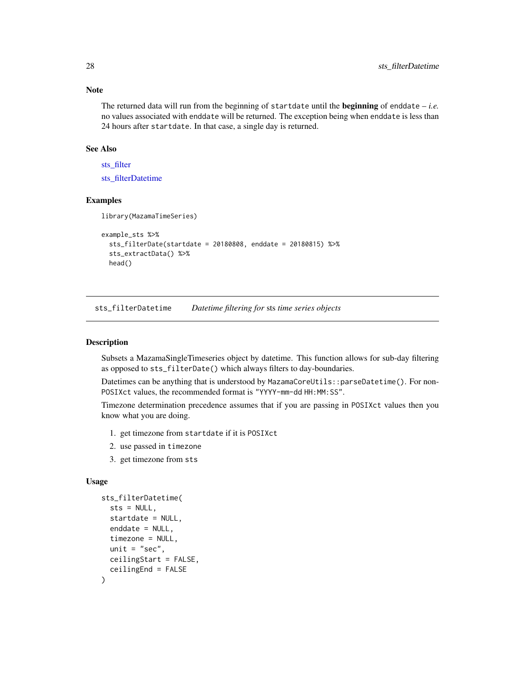The returned data will run from the beginning of startdate until the **beginning** of enddate  $-i.e.$ no values associated with enddate will be returned. The exception being when enddate is less than 24 hours after startdate. In that case, a single day is returned.

#### See Also

sts filter

[sts\\_filterDatetime](#page-27-1)

# Examples

library(MazamaTimeSeries)

```
example_sts %>%
 sts_filterDate(startdate = 20180808, enddate = 20180815) %>%
 sts_extractData() %>%
 head()
```
<span id="page-27-1"></span>sts\_filterDatetime *Datetime filtering for* sts *time series objects*

#### Description

Subsets a MazamaSingleTimeseries object by datetime. This function allows for sub-day filtering as opposed to sts\_filterDate() which always filters to day-boundaries.

Datetimes can be anything that is understood by MazamaCoreUtils::parseDatetime(). For non-POSIXct values, the recommended format is "YYYY-mm-dd HH:MM:SS".

Timezone determination precedence assumes that if you are passing in POSIXct values then you know what you are doing.

- 1. get timezone from startdate if it is POSIXct
- 2. use passed in timezone
- 3. get timezone from sts

#### Usage

```
sts_filterDatetime(
 sts = NULL,startdate = NULL,
 enddate = NULL,timezone = NULL,
 unit = "sec",
 ceilingStart = FALSE,
  ceilingEnd = FALSE
)
```
<span id="page-27-0"></span>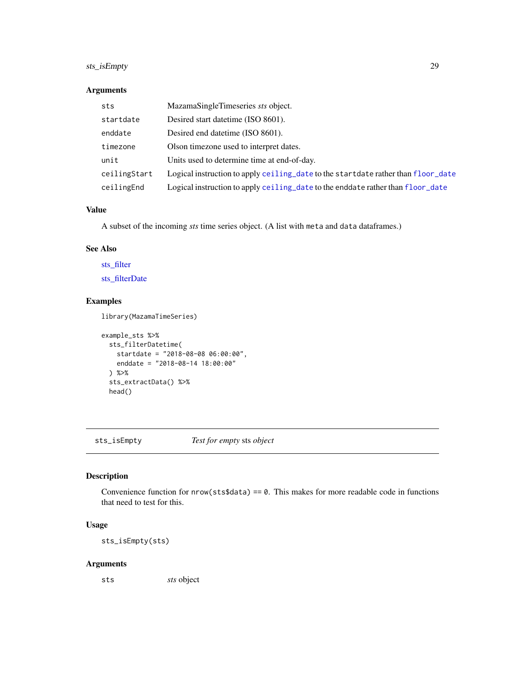# <span id="page-28-0"></span>sts\_isEmpty 29

# Arguments

| sts          | MazamaSingleTimeseries sts object.                                                |
|--------------|-----------------------------------------------------------------------------------|
| startdate    | Desired start date time (ISO 8601).                                               |
| enddate      | Desired end date time (ISO 8601).                                                 |
| timezone     | Olson timezone used to interpret dates.                                           |
| unit         | Units used to determine time at end-of-day.                                       |
| ceilingStart | Logical instruction to apply ceiling_date to the startdate rather than floor_date |
| ceilingEnd   | Logical instruction to apply ceiling_date to the enddate rather than floor_date   |

#### Value

A subset of the incoming *sts* time series object. (A list with meta and data dataframes.)

# See Also

[sts\\_filter](#page-25-1) [sts\\_filterDate](#page-26-1)

# Examples

library(MazamaTimeSeries)

```
example_sts %>%
 sts_filterDatetime(
   startdate = "2018-08-08 06:00:00",
   enddate = "2018-08-14 18:00:00"
  ) %>%
  sts_extractData() %>%
  head()
```
sts\_isEmpty *Test for empty* sts *object*

# Description

Convenience function for  $nrow(sts$data) == 0$ . This makes for more readable code in functions that need to test for this.

# Usage

sts\_isEmpty(sts)

# Arguments

sts *sts* object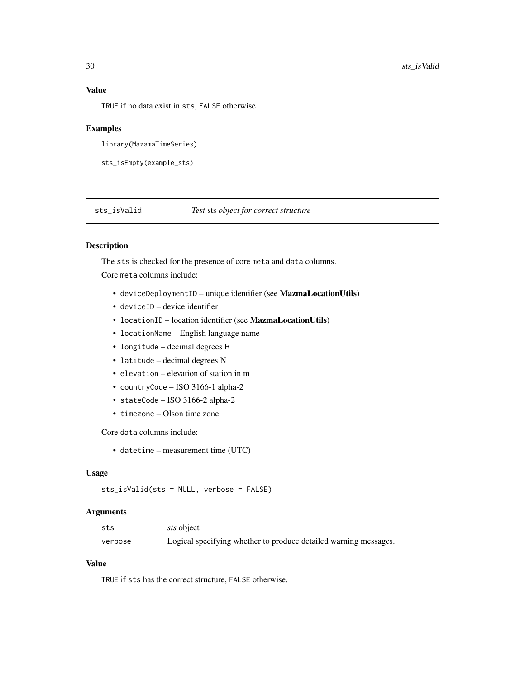<span id="page-29-0"></span>TRUE if no data exist in sts, FALSE otherwise.

#### Examples

```
library(MazamaTimeSeries)
```

```
sts_isEmpty(example_sts)
```
#### <span id="page-29-1"></span>sts\_isValid *Test* sts *object for correct structure*

# Description

The sts is checked for the presence of core meta and data columns.

Core meta columns include:

- deviceDeploymentID unique identifier (see MazmaLocationUtils)
- deviceID device identifier
- locationID location identifier (see MazmaLocationUtils)
- locationName English language name
- longitude decimal degrees E
- latitude decimal degrees N
- elevation elevation of station in m
- countryCode ISO 3166-1 alpha-2
- stateCode ISO 3166-2 alpha-2
- timezone Olson time zone

Core data columns include:

• datetime – measurement time (UTC)

#### Usage

sts\_isValid(sts = NULL, verbose = FALSE)

# Arguments

| sts     | <i>sts</i> object                                                |
|---------|------------------------------------------------------------------|
| verbose | Logical specifying whether to produce detailed warning messages. |

# Value

TRUE if sts has the correct structure, FALSE otherwise.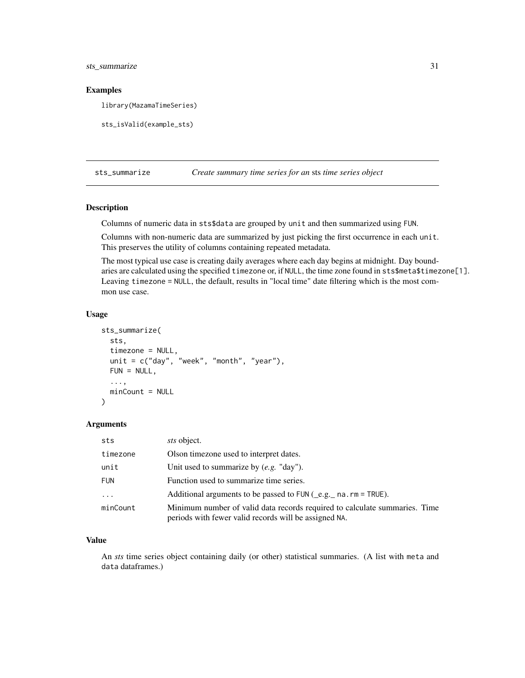<span id="page-30-0"></span>sts\_summarize 31

#### Examples

library(MazamaTimeSeries)

```
sts_isValid(example_sts)
```
sts\_summarize *Create summary time series for an* sts *time series object*

# Description

Columns of numeric data in sts\$data are grouped by unit and then summarized using FUN.

Columns with non-numeric data are summarized by just picking the first occurrence in each unit. This preserves the utility of columns containing repeated metadata.

The most typical use case is creating daily averages where each day begins at midnight. Day boundaries are calculated using the specified timezone or, if NULL, the time zone found in sts\$meta\$timezone[1]. Leaving timezone = NULL, the default, results in "local time" date filtering which is the most common use case.

#### Usage

```
sts_summarize(
  sts,
  timezone = NULL,
  unit = c("day", "week", "month", "year"),
 FUN = NULL,...,
 minCount = NULL
)
```
#### **Arguments**

| sts        | sts object.                                                                                                                         |
|------------|-------------------------------------------------------------------------------------------------------------------------------------|
| timezone   | Olson timezone used to interpret dates.                                                                                             |
| unit       | Unit used to summarize by $(e.g. "day").$                                                                                           |
| <b>FUN</b> | Function used to summarize time series.                                                                                             |
| $\ddots$   | Additional arguments to be passed to FUN $($ e.g. na. rm = TRUE).                                                                   |
| minCount   | Minimum number of valid data records required to calculate summaries. Time<br>periods with fewer valid records will be assigned NA. |

#### Value

An *sts* time series object containing daily (or other) statistical summaries. (A list with meta and data dataframes.)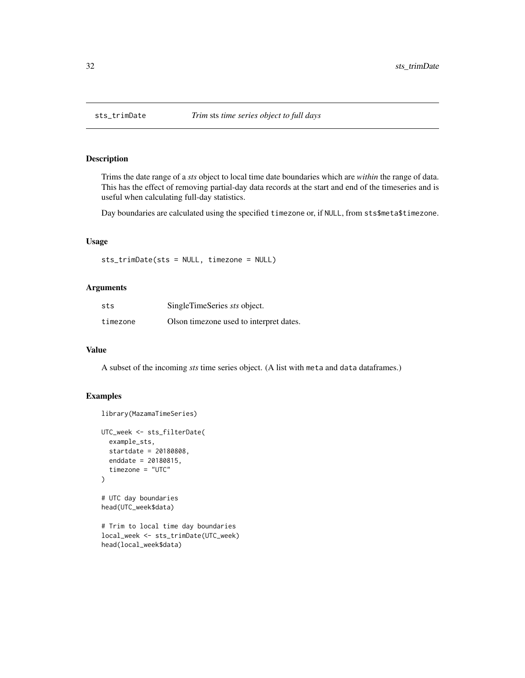<span id="page-31-0"></span>

Trims the date range of a *sts* object to local time date boundaries which are *within* the range of data. This has the effect of removing partial-day data records at the start and end of the timeseries and is useful when calculating full-day statistics.

Day boundaries are calculated using the specified timezone or, if NULL, from sts\$meta\$timezone.

# Usage

sts\_trimDate(sts = NULL, timezone = NULL)

# Arguments

| sts      | SingleTimeSeries sts object.            |
|----------|-----------------------------------------|
| timezone | Olson timezone used to interpret dates. |

# Value

A subset of the incoming *sts* time series object. (A list with meta and data dataframes.)

# Examples

```
library(MazamaTimeSeries)
```

```
UTC_week <- sts_filterDate(
  example_sts,
  startdate = 20180808,
  enddate = 20180815,
  timezone = "UTC"
\mathcal{L}
```
# UTC day boundaries head(UTC\_week\$data)

# Trim to local time day boundaries local\_week <- sts\_trimDate(UTC\_week) head(local\_week\$data)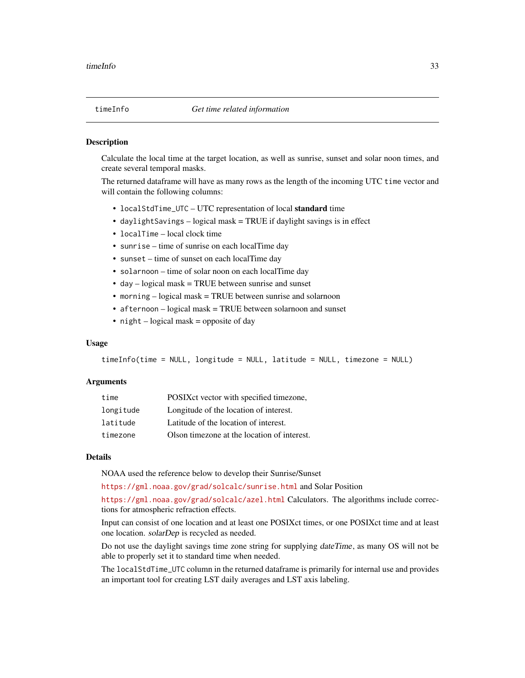<span id="page-32-0"></span>

Calculate the local time at the target location, as well as sunrise, sunset and solar noon times, and create several temporal masks.

The returned dataframe will have as many rows as the length of the incoming UTC time vector and will contain the following columns:

- localStdTime\_UTC UTC representation of local standard time
- daylightSavings logical mask = TRUE if daylight savings is in effect
- localTime local clock time
- sunrise time of sunrise on each localTime day
- sunset time of sunset on each localTime day
- solarnoon time of solar noon on each localTime day
- day logical mask = TRUE between sunrise and sunset
- morning logical mask = TRUE between sunrise and solarnoon
- afternoon logical mask = TRUE between solarnoon and sunset
- night logical mask = opposite of day

# Usage

```
timeInfo(time = NULL, longitude = NULL, latitude = NULL, timezone = NULL)
```
### Arguments

| time      | POSIXct vector with specified timezone,     |
|-----------|---------------------------------------------|
| longitude | Longitude of the location of interest.      |
| latitude  | Latitude of the location of interest.       |
| timezone  | Olson timezone at the location of interest. |

# Details

NOAA used the reference below to develop their Sunrise/Sunset

<https://gml.noaa.gov/grad/solcalc/sunrise.html> and Solar Position

<https://gml.noaa.gov/grad/solcalc/azel.html> Calculators. The algorithms include corrections for atmospheric refraction effects.

Input can consist of one location and at least one POSIXct times, or one POSIXct time and at least one location. solarDep is recycled as needed.

Do not use the daylight savings time zone string for supplying dateTime, as many OS will not be able to properly set it to standard time when needed.

The localStdTime\_UTC column in the returned dataframe is primarily for internal use and provides an important tool for creating LST daily averages and LST axis labeling.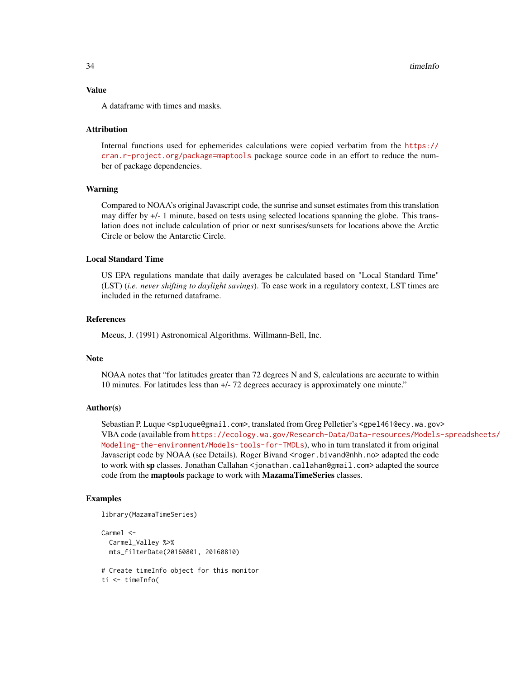#### Value

A dataframe with times and masks.

#### Attribution

Internal functions used for ephemerides calculations were copied verbatim from the [https://](https://cran.r-project.org/package=maptools) [cran.r-project.org/package=maptools](https://cran.r-project.org/package=maptools) package source code in an effort to reduce the number of package dependencies.

#### Warning

Compared to NOAA's original Javascript code, the sunrise and sunset estimates from this translation may differ by +/- 1 minute, based on tests using selected locations spanning the globe. This translation does not include calculation of prior or next sunrises/sunsets for locations above the Arctic Circle or below the Antarctic Circle.

# Local Standard Time

US EPA regulations mandate that daily averages be calculated based on "Local Standard Time" (LST) (*i.e. never shifting to daylight savings*). To ease work in a regulatory context, LST times are included in the returned dataframe.

#### References

Meeus, J. (1991) Astronomical Algorithms. Willmann-Bell, Inc.

#### Note

NOAA notes that "for latitudes greater than 72 degrees N and S, calculations are accurate to within 10 minutes. For latitudes less than +/- 72 degrees accuracy is approximately one minute."

#### Author(s)

Sebastian P. Luque <spluque@gmail.com>, translated from Greg Pelletier's <gpel461@ecy.wa.gov> VBA code (available from [https://ecology.wa.gov/Research-Data/Data-resources/Models](https://ecology.wa.gov/Research-Data/Data-resources/Models-spreadsheets/Modeling-the-environment/Models-tools-for-TMDLs)-spreadsheets/ [Modeling-the-environment/Models-tools-for-TMDLs](https://ecology.wa.gov/Research-Data/Data-resources/Models-spreadsheets/Modeling-the-environment/Models-tools-for-TMDLs)), who in turn translated it from original Javascript code by NOAA (see Details). Roger Bivand <roger.bivand@nhh.no> adapted the code to work with sp classes. Jonathan Callahan < jonathan.callahan@gmail.com> adapted the source code from the maptools package to work with MazamaTimeSeries classes.

## Examples

```
library(MazamaTimeSeries)
```

```
Carmel <-
 Carmel_Valley %>%
 mts_filterDate(20160801, 20160810)
# Create timeInfo object for this monitor
ti <- timeInfo(
```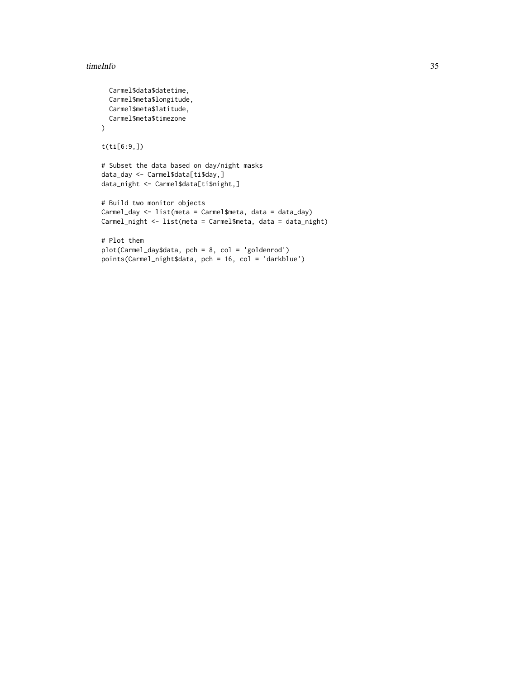#### timeInfo 35

```
Carmel$data$datetime,
  Carmel$meta$longitude,
 Carmel$meta$latitude,
 Carmel$meta$timezone
\mathcal{L}t(ti[6:9,])
# Subset the data based on day/night masks
data_day <- Carmel$data[ti$day,]
data_night <- Carmel$data[ti$night,]
# Build two monitor objects
Carmel_day <- list(meta = Carmel$meta, data = data_day)
Carmel_night <- list(meta = Carmel$meta, data = data_night)
# Plot them
plot(Carmel_day$data, pch = 8, col = 'goldenrod')
points(Carmel_night$data, pch = 16, col = 'darkblue')
```